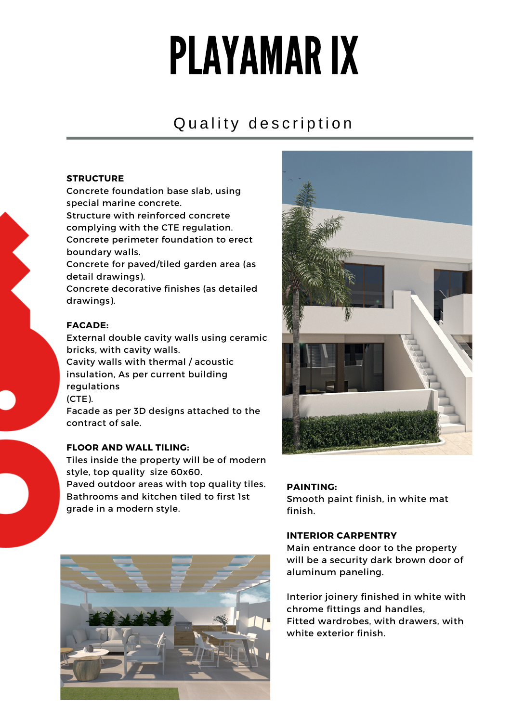# PLAYAMARIX

# Quality description

#### **STRUCTURE**

Concrete foundation base slab, using special marine concrete.

Structure with reinforced concrete complying with the CTE regulation. Concrete perimeter foundation to erect boundary walls.

Concrete for paved/tiled garden area (as detail drawings).

Concrete decorative finishes (as detailed drawings).

# **FACADE:**

External double cavity walls using ceramic bricks, with cavity walls.

Cavity walls with thermal / acoustic insulation, As per current building regulations (CTE).

Facade as per 3D designs attached to the contract of sale.

# **FLOOR AND WALL TILING:**

Tiles inside the property will be of modern style, top quality size 60x60.

Paved outdoor areas with top quality tiles. Bathrooms and kitchen tiled to first 1st grade in a modern style.





#### **PAINTING:**

Smooth paint finish, in white mat finish.

#### **INTERIOR CARPENTRY**

Main entrance door to the property will be a security dark brown door of aluminum paneling.

Interior joinery finished in white with chrome fittings and handles, Fitted wardrobes, with drawers, with white exterior finish.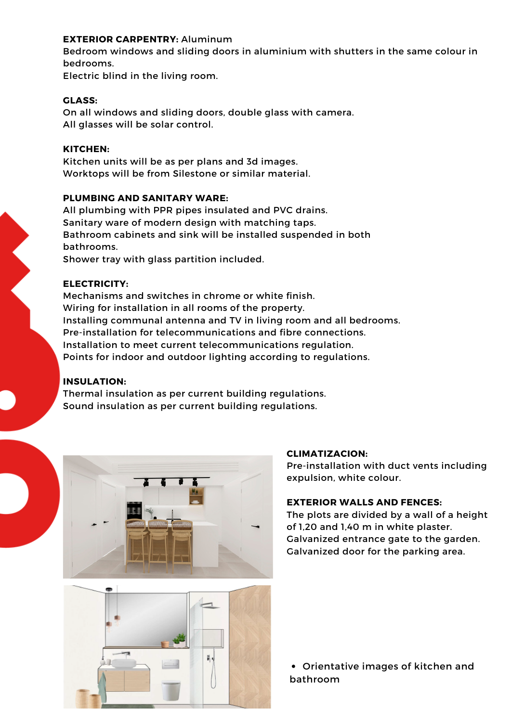#### **EXTERIOR CARPENTRY:** Aluminum

Bedroom windows and sliding doors in aluminium with shutters in the same colour in bedrooms.

Electric blind in the living room.

#### **GLASS:**

On all windows and sliding doors, double glass with camera. All glasses will be solar control.

#### **KITCHEN:**

Kitchen units will be as per plans and 3d images. Worktops will be from Silestone or similar material.

#### **PLUMBING AND SANITARY WARE:**

All plumbing with PPR pipes insulated and PVC drains. Sanitary ware of modern design with matching taps. Bathroom cabinets and sink will be installed suspended in both bathrooms. Shower tray with glass partition included.

# **ELECTRICITY:**

Mechanisms and switches in chrome or white finish. Wiring for installation in all rooms of the property. Installing communal antenna and TV in living room and all bedrooms. Pre-installation for telecommunications and fibre connections. Installation to meet current telecommunications regulation. Points for indoor and outdoor lighting according to regulations.

# **INSULATION:**

Thermal insulation as per current building regulations. Sound insulation as per current building regulations.



#### **CLIMATIZACION:**

Pre-installation with duct vents including expulsion, white colour.

#### **EXTERIOR WALLS AND FENCES:**

The plots are divided by a wall of a height of 1,20 and 1,40 m in white plaster. Galvanized entrance gate to the garden. Galvanized door for the parking area.



Orientative images of kitchen and bathroom